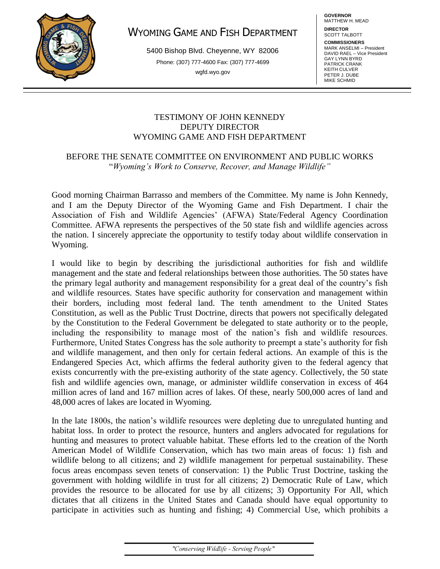

# WYOMING GAME AND FISH DEPARTMENT

5400 Bishop Blvd. Cheyenne, WY 82006 Phone: (307) 777-4600 Fax: (307) 777-4699 wgfd.wyo.gov

**GOVERNOR** MATTHEW H. MEAD

**DIRECTOR** SCOTT TALBOTT

**COMMISSIONERS** MARK ANSELMI – President DAVID RAEL – Vice President GAY LYNN BYRD PATRICK CRANK KEITH CULVER PETER J. DUBE MIKE SCHMID

## TESTIMONY OF JOHN KENNEDY DEPUTY DIRECTOR WYOMING GAME AND FISH DEPARTMENT

## BEFORE THE SENATE COMMITTEE ON ENVIRONMENT AND PUBLIC WORKS "*Wyoming's Work to Conserve, Recover, and Manage Wildlife"*

Good morning Chairman Barrasso and members of the Committee. My name is John Kennedy, and I am the Deputy Director of the Wyoming Game and Fish Department. I chair the Association of Fish and Wildlife Agencies' (AFWA) State/Federal Agency Coordination Committee. AFWA represents the perspectives of the 50 state fish and wildlife agencies across the nation. I sincerely appreciate the opportunity to testify today about wildlife conservation in Wyoming.

I would like to begin by describing the jurisdictional authorities for fish and wildlife management and the state and federal relationships between those authorities. The 50 states have the primary legal authority and management responsibility for a great deal of the country's fish and wildlife resources. States have specific authority for conservation and management within their borders, including most federal land. The tenth amendment to the United States Constitution, as well as the Public Trust Doctrine, directs that powers not specifically delegated by the Constitution to the Federal Government be delegated to state authority or to the people, including the responsibility to manage most of the nation's fish and wildlife resources. Furthermore, United States Congress has the sole authority to preempt a state's authority for fish and wildlife management, and then only for certain federal actions. An example of this is the Endangered Species Act, which affirms the federal authority given to the federal agency that exists concurrently with the pre-existing authority of the state agency. Collectively, the 50 state fish and wildlife agencies own, manage, or administer wildlife conservation in excess of 464 million acres of land and 167 million acres of lakes. Of these, nearly 500,000 acres of land and 48,000 acres of lakes are located in Wyoming.

In the late 1800s, the nation's wildlife resources were depleting due to unregulated hunting and habitat loss. In order to protect the resource, hunters and anglers advocated for regulations for hunting and measures to protect valuable habitat. These efforts led to the creation of the North American Model of Wildlife Conservation, which has two main areas of focus: 1) fish and wildlife belong to all citizens; and 2) wildlife management for perpetual sustainability. These focus areas encompass seven tenets of conservation: 1) the Public Trust Doctrine, tasking the government with holding wildlife in trust for all citizens; 2) Democratic Rule of Law, which provides the resource to be allocated for use by all citizens; 3) Opportunity For All, which dictates that all citizens in the United States and Canada should have equal opportunity to participate in activities such as hunting and fishing; 4) Commercial Use, which prohibits a

"Conserving Wildlife - Serving People"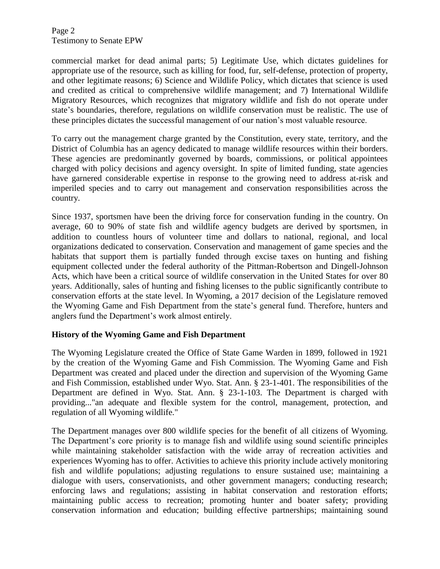commercial market for dead animal parts; 5) Legitimate Use, which dictates guidelines for appropriate use of the resource, such as killing for food, fur, self-defense, protection of property, and other legitimate reasons; 6) Science and Wildlife Policy, which dictates that science is used and credited as critical to comprehensive wildlife management; and 7) International Wildlife Migratory Resources, which recognizes that migratory wildlife and fish do not operate under state's boundaries, therefore, regulations on wildlife conservation must be realistic. The use of these principles dictates the successful management of our nation's most valuable resource.

To carry out the management charge granted by the Constitution, every state, territory, and the District of Columbia has an agency dedicated to manage wildlife resources within their borders. These agencies are predominantly governed by boards, commissions, or political appointees charged with policy decisions and agency oversight. In spite of limited funding, state agencies have garnered considerable expertise in response to the growing need to address at-risk and imperiled species and to carry out management and conservation responsibilities across the country.

Since 1937, sportsmen have been the driving force for conservation funding in the country. On average, 60 to 90% of state fish and wildlife agency budgets are derived by sportsmen, in addition to countless hours of volunteer time and dollars to national, regional, and local organizations dedicated to conservation. Conservation and management of game species and the habitats that support them is partially funded through excise taxes on hunting and fishing equipment collected under the federal authority of the Pittman-Robertson and Dingell-Johnson Acts, which have been a critical source of wildlife conservation in the United States for over 80 years. Additionally, sales of hunting and fishing licenses to the public significantly contribute to conservation efforts at the state level. In Wyoming, a 2017 decision of the Legislature removed the Wyoming Game and Fish Department from the state's general fund. Therefore, hunters and anglers fund the Department's work almost entirely.

## **History of the Wyoming Game and Fish Department**

The Wyoming Legislature created the Office of State Game Warden in 1899, followed in 1921 by the creation of the Wyoming Game and Fish Commission. The Wyoming Game and Fish Department was created and placed under the direction and supervision of the Wyoming Game and Fish Commission, established under Wyo. Stat. Ann. § 23-1-401. The responsibilities of the Department are defined in Wyo. Stat. Ann. § 23-1-103. The Department is charged with providing..."an adequate and flexible system for the control, management, protection, and regulation of all Wyoming wildlife."

The Department manages over 800 wildlife species for the benefit of all citizens of Wyoming. The Department's core priority is to manage fish and wildlife using sound scientific principles while maintaining stakeholder satisfaction with the wide array of recreation activities and experiences Wyoming has to offer. Activities to achieve this priority include actively monitoring fish and wildlife populations; adjusting regulations to ensure sustained use; maintaining a dialogue with users, conservationists, and other government managers; conducting research; enforcing laws and regulations; assisting in habitat conservation and restoration efforts; maintaining public access to recreation; promoting hunter and boater safety; providing conservation information and education; building effective partnerships; maintaining sound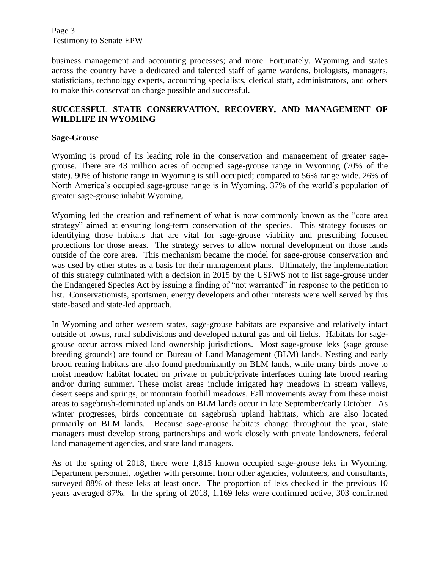Page 3 Testimony to Senate EPW

business management and accounting processes; and more. Fortunately, Wyoming and states across the country have a dedicated and talented staff of game wardens, biologists, managers, statisticians, technology experts, accounting specialists, clerical staff, administrators, and others to make this conservation charge possible and successful.

## **SUCCESSFUL STATE CONSERVATION, RECOVERY, AND MANAGEMENT OF WILDLIFE IN WYOMING**

### **Sage-Grouse**

Wyoming is proud of its leading role in the conservation and management of greater sagegrouse. There are 43 million acres of occupied sage-grouse range in Wyoming (70% of the state). 90% of historic range in Wyoming is still occupied; compared to 56% range wide. 26% of North America's occupied sage-grouse range is in Wyoming. 37% of the world's population of greater sage-grouse inhabit Wyoming.

Wyoming led the creation and refinement of what is now commonly known as the "core area strategy" aimed at ensuring long-term conservation of the species. This strategy focuses on identifying those habitats that are vital for sage-grouse viability and prescribing focused protections for those areas. The strategy serves to allow normal development on those lands outside of the core area. This mechanism became the model for sage-grouse conservation and was used by other states as a basis for their management plans. Ultimately, the implementation of this strategy culminated with a decision in 2015 by the USFWS not to list sage-grouse under the Endangered Species Act by issuing a finding of "not warranted" in response to the petition to list. Conservationists, sportsmen, energy developers and other interests were well served by this state-based and state-led approach.

In Wyoming and other western states, sage-grouse habitats are expansive and relatively intact outside of towns, rural subdivisions and developed natural gas and oil fields. Habitats for sagegrouse occur across mixed land ownership jurisdictions. Most sage-grouse leks (sage grouse breeding grounds) are found on Bureau of Land Management (BLM) lands. Nesting and early brood rearing habitats are also found predominantly on BLM lands, while many birds move to moist meadow habitat located on private or public/private interfaces during late brood rearing and/or during summer. These moist areas include irrigated hay meadows in stream valleys, desert seeps and springs, or mountain foothill meadows. Fall movements away from these moist areas to sagebrush-dominated uplands on BLM lands occur in late September/early October. As winter progresses, birds concentrate on sagebrush upland habitats, which are also located primarily on BLM lands. Because sage-grouse habitats change throughout the year, state managers must develop strong partnerships and work closely with private landowners, federal land management agencies, and state land managers.

As of the spring of 2018, there were 1,815 known occupied sage-grouse leks in Wyoming. Department personnel, together with personnel from other agencies, volunteers, and consultants, surveyed 88% of these leks at least once. The proportion of leks checked in the previous 10 years averaged 87%. In the spring of 2018, 1,169 leks were confirmed active, 303 confirmed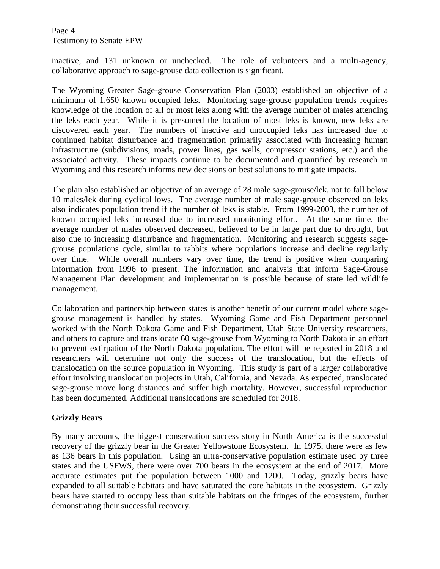Page 4 Testimony to Senate EPW

inactive, and 131 unknown or unchecked. The role of volunteers and a multi-agency, collaborative approach to sage-grouse data collection is significant.

The Wyoming Greater Sage-grouse Conservation Plan (2003) established an objective of a minimum of 1,650 known occupied leks. Monitoring sage-grouse population trends requires knowledge of the location of all or most leks along with the average number of males attending the leks each year. While it is presumed the location of most leks is known, new leks are discovered each year. The numbers of inactive and unoccupied leks has increased due to continued habitat disturbance and fragmentation primarily associated with increasing human infrastructure (subdivisions, roads, power lines, gas wells, compressor stations, etc.) and the associated activity. These impacts continue to be documented and quantified by research in Wyoming and this research informs new decisions on best solutions to mitigate impacts.

The plan also established an objective of an average of 28 male sage-grouse/lek, not to fall below 10 males/lek during cyclical lows. The average number of male sage-grouse observed on leks also indicates population trend if the number of leks is stable. From 1999-2003, the number of known occupied leks increased due to increased monitoring effort. At the same time, the average number of males observed decreased, believed to be in large part due to drought, but also due to increasing disturbance and fragmentation. Monitoring and research suggests sagegrouse populations cycle, similar to rabbits where populations increase and decline regularly over time. While overall numbers vary over time, the trend is positive when comparing information from 1996 to present. The information and analysis that inform Sage-Grouse Management Plan development and implementation is possible because of state led wildlife management.

Collaboration and partnership between states is another benefit of our current model where sagegrouse management is handled by states. Wyoming Game and Fish Department personnel worked with the North Dakota Game and Fish Department, Utah State University researchers, and others to capture and translocate 60 sage-grouse from Wyoming to North Dakota in an effort to prevent extirpation of the North Dakota population. The effort will be repeated in 2018 and researchers will determine not only the success of the translocation, but the effects of translocation on the source population in Wyoming. This study is part of a larger collaborative effort involving translocation projects in Utah, California, and Nevada. As expected, translocated sage-grouse move long distances and suffer high mortality. However, successful reproduction has been documented. Additional translocations are scheduled for 2018.

## **Grizzly Bears**

By many accounts, the biggest conservation success story in North America is the successful recovery of the grizzly bear in the Greater Yellowstone Ecosystem. In 1975, there were as few as 136 bears in this population. Using an ultra-conservative population estimate used by three states and the USFWS, there were over 700 bears in the ecosystem at the end of 2017. More accurate estimates put the population between 1000 and 1200. Today, grizzly bears have expanded to all suitable habitats and have saturated the core habitats in the ecosystem. Grizzly bears have started to occupy less than suitable habitats on the fringes of the ecosystem, further demonstrating their successful recovery.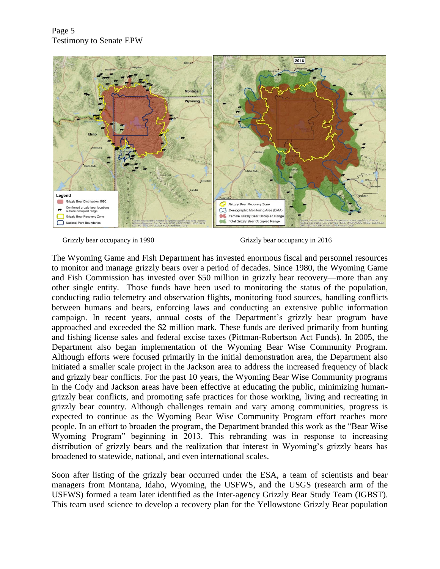

Grizzly bear occupancy in 1990 Grizzly bear occupancy in 2016

The Wyoming Game and Fish Department has invested enormous fiscal and personnel resources to monitor and manage grizzly bears over a period of decades. Since 1980, the Wyoming Game and Fish Commission has invested over \$50 million in grizzly bear recovery—more than any other single entity. Those funds have been used to monitoring the status of the population, conducting radio telemetry and observation flights, monitoring food sources, handling conflicts between humans and bears, enforcing laws and conducting an extensive public information campaign. In recent years, annual costs of the Department's grizzly bear program have approached and exceeded the \$2 million mark. These funds are derived primarily from hunting and fishing license sales and federal excise taxes (Pittman-Robertson Act Funds). In 2005, the Department also began implementation of the Wyoming Bear Wise Community Program. Although efforts were focused primarily in the initial demonstration area, the Department also initiated a smaller scale project in the Jackson area to address the increased frequency of black and grizzly bear conflicts. For the past 10 years, the Wyoming Bear Wise Community programs in the Cody and Jackson areas have been effective at educating the public, minimizing humangrizzly bear conflicts, and promoting safe practices for those working, living and recreating in grizzly bear country. Although challenges remain and vary among communities, progress is expected to continue as the Wyoming Bear Wise Community Program effort reaches more people. In an effort to broaden the program, the Department branded this work as the "Bear Wise Wyoming Program" beginning in 2013. This rebranding was in response to increasing distribution of grizzly bears and the realization that interest in Wyoming's grizzly bears has broadened to statewide, national, and even international scales.

Soon after listing of the grizzly bear occurred under the ESA, a team of scientists and bear managers from Montana, Idaho, Wyoming, the USFWS, and the USGS (research arm of the USFWS) formed a team later identified as the Inter-agency Grizzly Bear Study Team (IGBST). This team used science to develop a recovery plan for the Yellowstone Grizzly Bear population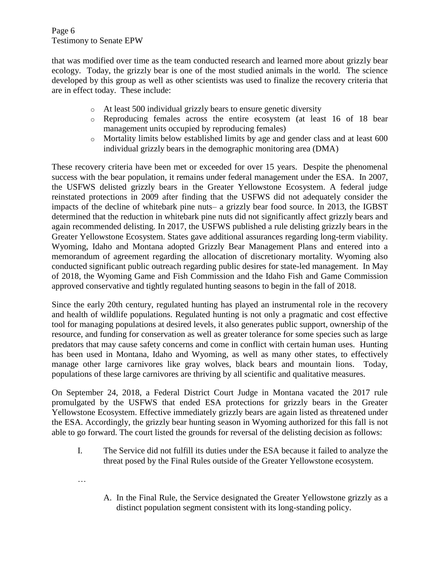Page 6 Testimony to Senate EPW

that was modified over time as the team conducted research and learned more about grizzly bear ecology. Today, the grizzly bear is one of the most studied animals in the world. The science developed by this group as well as other scientists was used to finalize the recovery criteria that are in effect today. These include:

- o At least 500 individual grizzly bears to ensure genetic diversity
- o Reproducing females across the entire ecosystem (at least 16 of 18 bear management units occupied by reproducing females)
- o Mortality limits below established limits by age and gender class and at least 600 individual grizzly bears in the demographic monitoring area (DMA)

These recovery criteria have been met or exceeded for over 15 years. Despite the phenomenal success with the bear population, it remains under federal management under the ESA. In 2007, the USFWS delisted grizzly bears in the Greater Yellowstone Ecosystem. A federal judge reinstated protections in 2009 after finding that the USFWS did not adequately consider the impacts of the decline of whitebark pine nuts– a grizzly bear food source. In 2013, the IGBST determined that the reduction in whitebark pine nuts did not significantly affect grizzly bears and again recommended delisting. In 2017, the USFWS published a rule delisting grizzly bears in the Greater Yellowstone Ecosystem. States gave additional assurances regarding long-term viability. Wyoming, Idaho and Montana adopted Grizzly Bear Management Plans and entered into a memorandum of agreement regarding the allocation of discretionary mortality. Wyoming also conducted significant public outreach regarding public desires for state-led management. In May of 2018, the Wyoming Game and Fish Commission and the Idaho Fish and Game Commission approved conservative and tightly regulated hunting seasons to begin in the fall of 2018.

Since the early 20th century, regulated hunting has played an instrumental role in the recovery and health of wildlife populations. Regulated hunting is not only a pragmatic and cost effective tool for managing populations at desired levels, it also generates public support, ownership of the resource, and funding for conservation as well as greater tolerance for some species such as large predators that may cause safety concerns and come in conflict with certain human uses. Hunting has been used in Montana, Idaho and Wyoming, as well as many other states, to effectively manage other large carnivores like gray wolves, black bears and mountain lions. Today, populations of these large carnivores are thriving by all scientific and qualitative measures.

On September 24, 2018, a Federal District Court Judge in Montana vacated the 2017 rule promulgated by the USFWS that ended ESA protections for grizzly bears in the Greater Yellowstone Ecosystem. Effective immediately grizzly bears are again listed as threatened under the ESA. Accordingly, the grizzly bear hunting season in Wyoming authorized for this fall is not able to go forward. The court listed the grounds for reversal of the delisting decision as follows:

I. The Service did not fulfill its duties under the ESA because it failed to analyze the threat posed by the Final Rules outside of the Greater Yellowstone ecosystem.

…

A. In the Final Rule, the Service designated the Greater Yellowstone grizzly as a distinct population segment consistent with its long-standing policy.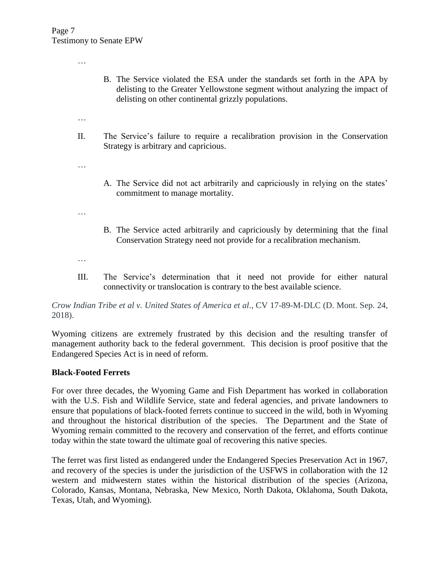…

- B. The Service violated the ESA under the standards set forth in the APA by delisting to the Greater Yellowstone segment without analyzing the impact of delisting on other continental grizzly populations.
- …
- II. The Service's failure to require a recalibration provision in the Conservation Strategy is arbitrary and capricious.
- …
- A. The Service did not act arbitrarily and capriciously in relying on the states' commitment to manage mortality.
- …
- B. The Service acted arbitrarily and capriciously by determining that the final Conservation Strategy need not provide for a recalibration mechanism.
- …
- III. The Service's determination that it need not provide for either natural connectivity or translocation is contrary to the best available science.

*Crow Indian Tribe et al v. United States of America et al*., CV 17-89-M-DLC (D. Mont. Sep. 24, 2018).

Wyoming citizens are extremely frustrated by this decision and the resulting transfer of management authority back to the federal government. This decision is proof positive that the Endangered Species Act is in need of reform.

### **Black-Footed Ferrets**

For over three decades, the Wyoming Game and Fish Department has worked in collaboration with the U.S. Fish and Wildlife Service, state and federal agencies, and private landowners to ensure that populations of black-footed ferrets continue to succeed in the wild, both in Wyoming and throughout the historical distribution of the species. The Department and the State of Wyoming remain committed to the recovery and conservation of the ferret, and efforts continue today within the state toward the ultimate goal of recovering this native species.

The ferret was first listed as endangered under the Endangered Species Preservation Act in 1967, and recovery of the species is under the jurisdiction of the USFWS in collaboration with the 12 western and midwestern states within the historical distribution of the species (Arizona, Colorado, Kansas, Montana, Nebraska, New Mexico, North Dakota, Oklahoma, South Dakota, Texas, Utah, and Wyoming).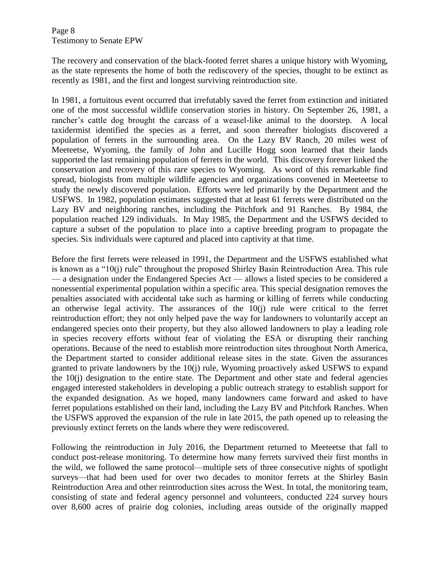Page 8 Testimony to Senate EPW

The recovery and conservation of the black-footed ferret shares a unique history with Wyoming, as the state represents the home of both the rediscovery of the species, thought to be extinct as recently as 1981, and the first and longest surviving reintroduction site.

In 1981, a fortuitous event occurred that irrefutably saved the ferret from extinction and initiated one of the most successful wildlife conservation stories in history. On September 26, 1981, a rancher's cattle dog brought the carcass of a weasel-like animal to the doorstep. A local taxidermist identified the species as a ferret, and soon thereafter biologists discovered a population of ferrets in the surrounding area. On the Lazy BV Ranch, 20 miles west of Meeteetse, Wyoming, the family of John and Lucille Hogg soon learned that their lands supported the last remaining population of ferrets in the world. This discovery forever linked the conservation and recovery of this rare species to Wyoming. As word of this remarkable find spread, biologists from multiple wildlife agencies and organizations convened in Meeteetse to study the newly discovered population. Efforts were led primarily by the Department and the USFWS. In 1982, population estimates suggested that at least 61 ferrets were distributed on the Lazy BV and neighboring ranches, including the Pitchfork and 91 Ranches. By 1984, the population reached 129 individuals. In May 1985, the Department and the USFWS decided to capture a subset of the population to place into a captive breeding program to propagate the species. Six individuals were captured and placed into captivity at that time.

Before the first ferrets were released in 1991, the Department and the USFWS established what is known as a "10(j) rule" throughout the proposed Shirley Basin Reintroduction Area. This rule — a designation under the Endangered Species Act — allows a listed species to be considered a nonessential experimental population within a specific area. This special designation removes the penalties associated with accidental take such as harming or killing of ferrets while conducting an otherwise legal activity. The assurances of the 10(j) rule were critical to the ferret reintroduction effort; they not only helped pave the way for landowners to voluntarily accept an endangered species onto their property, but they also allowed landowners to play a leading role in species recovery efforts without fear of violating the ESA or disrupting their ranching operations. Because of the need to establish more reintroduction sites throughout North America, the Department started to consider additional release sites in the state. Given the assurances granted to private landowners by the 10(j) rule, Wyoming proactively asked USFWS to expand the 10(j) designation to the entire state. The Department and other state and federal agencies engaged interested stakeholders in developing a public outreach strategy to establish support for the expanded designation. As we hoped, many landowners came forward and asked to have ferret populations established on their land, including the Lazy BV and Pitchfork Ranches. When the USFWS approved the expansion of the rule in late 2015, the path opened up to releasing the previously extinct ferrets on the lands where they were rediscovered.

Following the reintroduction in July 2016, the Department returned to Meeteetse that fall to conduct post-release monitoring. To determine how many ferrets survived their first months in the wild, we followed the same protocol—multiple sets of three consecutive nights of spotlight surveys—that had been used for over two decades to monitor ferrets at the Shirley Basin Reintroduction Area and other reintroduction sites across the West. In total, the monitoring team, consisting of state and federal agency personnel and volunteers, conducted 224 survey hours over 8,600 acres of prairie dog colonies, including areas outside of the originally mapped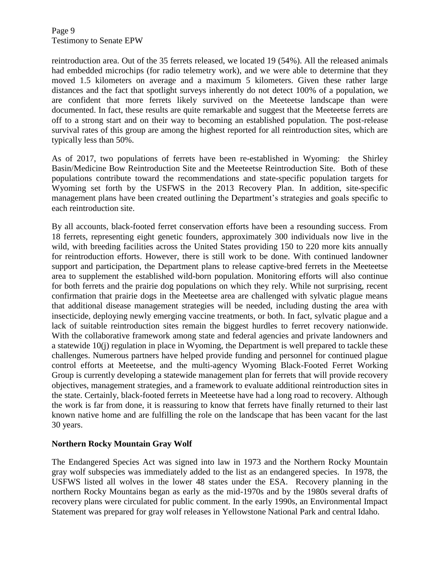Page 9 Testimony to Senate EPW

reintroduction area. Out of the 35 ferrets released, we located 19 (54%). All the released animals had embedded microchips (for radio telemetry work), and we were able to determine that they moved 1.5 kilometers on average and a maximum 5 kilometers. Given these rather large distances and the fact that spotlight surveys inherently do not detect 100% of a population, we are confident that more ferrets likely survived on the Meeteetse landscape than were documented. In fact, these results are quite remarkable and suggest that the Meeteetse ferrets are off to a strong start and on their way to becoming an established population. The post-release survival rates of this group are among the highest reported for all reintroduction sites, which are typically less than 50%.

As of 2017, two populations of ferrets have been re-established in Wyoming: the Shirley Basin/Medicine Bow Reintroduction Site and the Meeteetse Reintroduction Site. Both of these populations contribute toward the recommendations and state-specific population targets for Wyoming set forth by the USFWS in the 2013 Recovery Plan. In addition, site-specific management plans have been created outlining the Department's strategies and goals specific to each reintroduction site.

By all accounts, black-footed ferret conservation efforts have been a resounding success. From 18 ferrets, representing eight genetic founders, approximately 300 individuals now live in the wild, with breeding facilities across the United States providing 150 to 220 more kits annually for reintroduction efforts. However, there is still work to be done. With continued landowner support and participation, the Department plans to release captive-bred ferrets in the Meeteetse area to supplement the established wild-born population. Monitoring efforts will also continue for both ferrets and the prairie dog populations on which they rely. While not surprising, recent confirmation that prairie dogs in the Meeteetse area are challenged with sylvatic plague means that additional disease management strategies will be needed, including dusting the area with insecticide, deploying newly emerging vaccine treatments, or both. In fact, sylvatic plague and a lack of suitable reintroduction sites remain the biggest hurdles to ferret recovery nationwide. With the collaborative framework among state and federal agencies and private landowners and a statewide 10(j) regulation in place in Wyoming, the Department is well prepared to tackle these challenges. Numerous partners have helped provide funding and personnel for continued plague control efforts at Meeteetse, and the multi-agency Wyoming Black-Footed Ferret Working Group is currently developing a statewide management plan for ferrets that will provide recovery objectives, management strategies, and a framework to evaluate additional reintroduction sites in the state. Certainly, black-footed ferrets in Meeteetse have had a long road to recovery. Although the work is far from done, it is reassuring to know that ferrets have finally returned to their last known native home and are fulfilling the role on the landscape that has been vacant for the last 30 years.

### **Northern Rocky Mountain Gray Wolf**

The Endangered Species Act was signed into law in 1973 and the Northern Rocky Mountain gray wolf subspecies was immediately added to the list as an endangered species. In 1978, the USFWS listed all wolves in the lower 48 states under the ESA. Recovery planning in the northern Rocky Mountains began as early as the mid-1970s and by the 1980s several drafts of recovery plans were circulated for public comment. In the early 1990s, an Environmental Impact Statement was prepared for gray wolf releases in Yellowstone National Park and central Idaho.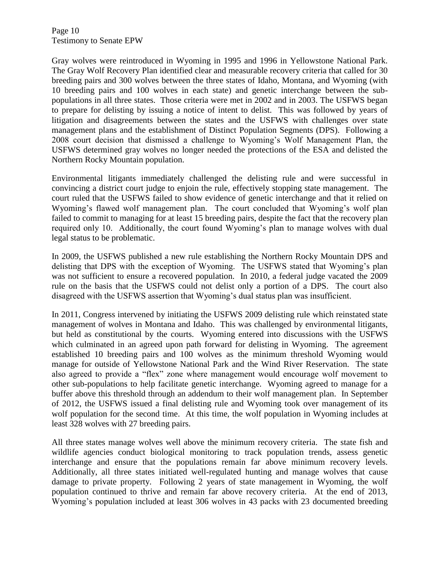Page 10 Testimony to Senate EPW

Gray wolves were reintroduced in Wyoming in 1995 and 1996 in Yellowstone National Park. The Gray Wolf Recovery Plan identified clear and measurable recovery criteria that called for 30 breeding pairs and 300 wolves between the three states of Idaho, Montana, and Wyoming (with 10 breeding pairs and 100 wolves in each state) and genetic interchange between the subpopulations in all three states. Those criteria were met in 2002 and in 2003. The USFWS began to prepare for delisting by issuing a notice of intent to delist. This was followed by years of litigation and disagreements between the states and the USFWS with challenges over state management plans and the establishment of Distinct Population Segments (DPS). Following a 2008 court decision that dismissed a challenge to Wyoming's Wolf Management Plan, the USFWS determined gray wolves no longer needed the protections of the ESA and delisted the Northern Rocky Mountain population.

Environmental litigants immediately challenged the delisting rule and were successful in convincing a district court judge to enjoin the rule, effectively stopping state management. The court ruled that the USFWS failed to show evidence of genetic interchange and that it relied on Wyoming's flawed wolf management plan. The court concluded that Wyoming's wolf plan failed to commit to managing for at least 15 breeding pairs, despite the fact that the recovery plan required only 10. Additionally, the court found Wyoming's plan to manage wolves with dual legal status to be problematic.

In 2009, the USFWS published a new rule establishing the Northern Rocky Mountain DPS and delisting that DPS with the exception of Wyoming. The USFWS stated that Wyoming's plan was not sufficient to ensure a recovered population. In 2010, a federal judge vacated the 2009 rule on the basis that the USFWS could not delist only a portion of a DPS. The court also disagreed with the USFWS assertion that Wyoming's dual status plan was insufficient.

In 2011, Congress intervened by initiating the USFWS 2009 delisting rule which reinstated state management of wolves in Montana and Idaho. This was challenged by environmental litigants, but held as constitutional by the courts. Wyoming entered into discussions with the USFWS which culminated in an agreed upon path forward for delisting in Wyoming. The agreement established 10 breeding pairs and 100 wolves as the minimum threshold Wyoming would manage for outside of Yellowstone National Park and the Wind River Reservation. The state also agreed to provide a "flex" zone where management would encourage wolf movement to other sub-populations to help facilitate genetic interchange. Wyoming agreed to manage for a buffer above this threshold through an addendum to their wolf management plan. In September of 2012, the USFWS issued a final delisting rule and Wyoming took over management of its wolf population for the second time. At this time, the wolf population in Wyoming includes at least 328 wolves with 27 breeding pairs.

All three states manage wolves well above the minimum recovery criteria. The state fish and wildlife agencies conduct biological monitoring to track population trends, assess genetic interchange and ensure that the populations remain far above minimum recovery levels. Additionally, all three states initiated well-regulated hunting and manage wolves that cause damage to private property. Following 2 years of state management in Wyoming, the wolf population continued to thrive and remain far above recovery criteria. At the end of 2013, Wyoming's population included at least 306 wolves in 43 packs with 23 documented breeding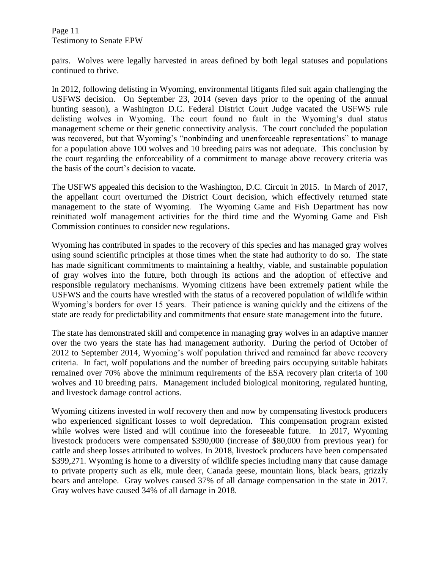Page 11 Testimony to Senate EPW

pairs. Wolves were legally harvested in areas defined by both legal statuses and populations continued to thrive.

In 2012, following delisting in Wyoming, environmental litigants filed suit again challenging the USFWS decision. On September 23, 2014 (seven days prior to the opening of the annual hunting season), a Washington D.C. Federal District Court Judge vacated the USFWS rule delisting wolves in Wyoming. The court found no fault in the Wyoming's dual status management scheme or their genetic connectivity analysis. The court concluded the population was recovered, but that Wyoming's "nonbinding and unenforceable representations" to manage for a population above 100 wolves and 10 breeding pairs was not adequate. This conclusion by the court regarding the enforceability of a commitment to manage above recovery criteria was the basis of the court's decision to vacate.

The USFWS appealed this decision to the Washington, D.C. Circuit in 2015. In March of 2017, the appellant court overturned the District Court decision, which effectively returned state management to the state of Wyoming. The Wyoming Game and Fish Department has now reinitiated wolf management activities for the third time and the Wyoming Game and Fish Commission continues to consider new regulations.

Wyoming has contributed in spades to the recovery of this species and has managed gray wolves using sound scientific principles at those times when the state had authority to do so. The state has made significant commitments to maintaining a healthy, viable, and sustainable population of gray wolves into the future, both through its actions and the adoption of effective and responsible regulatory mechanisms. Wyoming citizens have been extremely patient while the USFWS and the courts have wrestled with the status of a recovered population of wildlife within Wyoming's borders for over 15 years. Their patience is waning quickly and the citizens of the state are ready for predictability and commitments that ensure state management into the future.

The state has demonstrated skill and competence in managing gray wolves in an adaptive manner over the two years the state has had management authority. During the period of October of 2012 to September 2014, Wyoming's wolf population thrived and remained far above recovery criteria. In fact, wolf populations and the number of breeding pairs occupying suitable habitats remained over 70% above the minimum requirements of the ESA recovery plan criteria of 100 wolves and 10 breeding pairs. Management included biological monitoring, regulated hunting, and livestock damage control actions.

Wyoming citizens invested in wolf recovery then and now by compensating livestock producers who experienced significant losses to wolf depredation. This compensation program existed while wolves were listed and will continue into the foreseeable future. In 2017, Wyoming livestock producers were compensated \$390,000 (increase of \$80,000 from previous year) for cattle and sheep losses attributed to wolves. In 2018, livestock producers have been compensated \$399,271. Wyoming is home to a diversity of wildlife species including many that cause damage to private property such as elk, mule deer, Canada geese, mountain lions, black bears, grizzly bears and antelope. Gray wolves caused 37% of all damage compensation in the state in 2017. Gray wolves have caused 34% of all damage in 2018.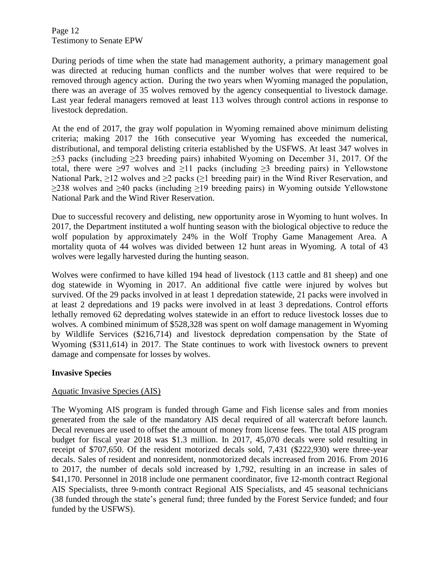Page 12 Testimony to Senate EPW

During periods of time when the state had management authority, a primary management goal was directed at reducing human conflicts and the number wolves that were required to be removed through agency action. During the two years when Wyoming managed the population, there was an average of 35 wolves removed by the agency consequential to livestock damage. Last year federal managers removed at least 113 wolves through control actions in response to livestock depredation.

At the end of 2017, the gray wolf population in Wyoming remained above minimum delisting criteria; making 2017 the 16th consecutive year Wyoming has exceeded the numerical, distributional, and temporal delisting criteria established by the USFWS. At least 347 wolves in ≥53 packs (including ≥23 breeding pairs) inhabited Wyoming on December 31, 2017. Of the total, there were  $\geq 97$  wolves and  $\geq 11$  packs (including  $\geq 3$  breeding pairs) in Yellowstone National Park,  $\geq 12$  wolves and  $\geq 2$  packs ( $\geq 1$  breeding pair) in the Wind River Reservation, and  $\geq$ 238 wolves and  $\geq$ 40 packs (including  $\geq$ 19 breeding pairs) in Wyoming outside Yellowstone National Park and the Wind River Reservation.

Due to successful recovery and delisting, new opportunity arose in Wyoming to hunt wolves. In 2017, the Department instituted a wolf hunting season with the biological objective to reduce the wolf population by approximately 24% in the Wolf Trophy Game Management Area. A mortality quota of 44 wolves was divided between 12 hunt areas in Wyoming. A total of 43 wolves were legally harvested during the hunting season.

Wolves were confirmed to have killed 194 head of livestock (113 cattle and 81 sheep) and one dog statewide in Wyoming in 2017. An additional five cattle were injured by wolves but survived. Of the 29 packs involved in at least 1 depredation statewide, 21 packs were involved in at least 2 depredations and 19 packs were involved in at least 3 depredations. Control efforts lethally removed 62 depredating wolves statewide in an effort to reduce livestock losses due to wolves. A combined minimum of \$528,328 was spent on wolf damage management in Wyoming by Wildlife Services (\$216,714) and livestock depredation compensation by the State of Wyoming (\$311,614) in 2017. The State continues to work with livestock owners to prevent damage and compensate for losses by wolves.

## **Invasive Species**

## Aquatic Invasive Species (AIS)

The Wyoming AIS program is funded through Game and Fish license sales and from monies generated from the sale of the mandatory AIS decal required of all watercraft before launch. Decal revenues are used to offset the amount of money from license fees. The total AIS program budget for fiscal year 2018 was \$1.3 million. In 2017, 45,070 decals were sold resulting in receipt of \$707,650. Of the resident motorized decals sold, 7,431 (\$222,930) were three-year decals. Sales of resident and nonresident, nonmotorized decals increased from 2016. From 2016 to 2017, the number of decals sold increased by 1,792, resulting in an increase in sales of \$41,170. Personnel in 2018 include one permanent coordinator, five 12-month contract Regional AIS Specialists, three 9-month contract Regional AIS Specialists, and 45 seasonal technicians (38 funded through the state's general fund; three funded by the Forest Service funded; and four funded by the USFWS).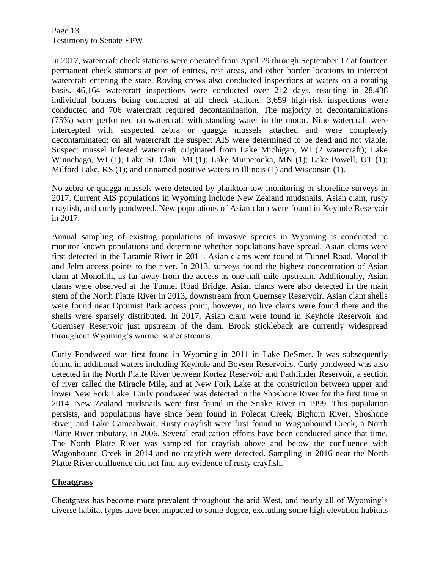Page 13 Testimony to Senate EPW

In 2017, watercraft check stations were operated from April 29 through September 17 at fourteen permanent check stations at port of entries, rest areas, and other border locations to intercept watercraft entering the state. Roving crews also conducted inspections at waters on a rotating basis. 46,164 watercraft inspections were conducted over 212 days, resulting in 28,438 individual boaters being contacted at all check stations. 3,659 high-risk inspections were conducted and 706 watercraft required decontamination. The majority of decontaminations (75%) were performed on watercraft with standing water in the motor. Nine watercraft were intercepted with suspected zebra or quagga mussels attached and were completely decontaminated; on all watercraft the suspect AIS were determined to be dead and not viable. Suspect mussel infested watercraft originated from Lake Michigan, WI (2 watercraft); Lake Winnebago, WI (1); Lake St. Clair, MI (1); Lake Minnetonka, MN (1); Lake Powell, UT (1); Milford Lake, KS (1); and unnamed positive waters in Illinois (1) and Wisconsin (1).

No zebra or quagga mussels were detected by plankton tow monitoring or shoreline surveys in 2017. Current AIS populations in Wyoming include New Zealand mudsnails, Asian clam, rusty crayfish, and curly pondweed. New populations of Asian clam were found in Keyhole Reservoir in 2017.

Annual sampling of existing populations of invasive species in Wyoming is conducted to monitor known populations and determine whether populations have spread. Asian clams were first detected in the Laramie River in 2011. Asian clams were found at Tunnel Road, Monolith and Jelm access points to the river. In 2013, surveys found the highest concentration of Asian clam at Monolith, as far away from the access as one-half mile upstream. Additionally, Asian clams were observed at the Tunnel Road Bridge. Asian clams were also detected in the main stem of the North Platte River in 2013, downstream from Guernsey Reservoir. Asian clam shells were found near Optimist Park access point, however, no live clams were found there and the shells were sparsely distributed. In 2017, Asian clam were found in Keyhole Reservoir and Guernsey Reservoir just upstream of the dam. Brook stickleback are currently widespread throughout Wyoming's warmer water streams.

Curly Pondweed was first found in Wyoming in 2011 in Lake DeSmet. It was subsequently found in additional waters including Keyhole and Boysen Reservoirs. Curly pondweed was also detected in the North Platte River between Kortez Reservoir and Pathfinder Reservoir, a section of river called the Miracle Mile, and at New Fork Lake at the constriction between upper and lower New Fork Lake. Curly pondweed was detected in the Shoshone River for the first time in 2014. New Zealand mudsnails were first found in the Snake River in 1999. This population persists, and populations have since been found in Polecat Creek, Bighorn River, Shoshone River, and Lake Cameahwait. Rusty crayfish were first found in Wagonhound Creek, a North Platte River tributary, in 2006. Several eradication efforts have been conducted since that time. The North Platte River was sampled for crayfish above and below the confluence with Wagonhound Creek in 2014 and no crayfish were detected. Sampling in 2016 near the North Platte River confluence did not find any evidence of rusty crayfish.

### **Cheatgrass**

Cheatgrass has become more prevalent throughout the arid West, and nearly all of Wyoming's diverse habitat types have been impacted to some degree, excluding some high elevation habitats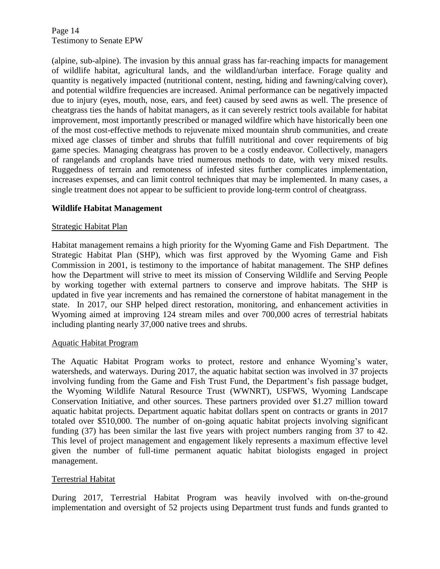Page 14 Testimony to Senate EPW

(alpine, sub-alpine). The invasion by this annual grass has far-reaching impacts for management of wildlife habitat, agricultural lands, and the wildland/urban interface. Forage quality and quantity is negatively impacted (nutritional content, nesting, hiding and fawning/calving cover), and potential wildfire frequencies are increased. Animal performance can be negatively impacted due to injury (eyes, mouth, nose, ears, and feet) caused by seed awns as well. The presence of cheatgrass ties the hands of habitat managers, as it can severely restrict tools available for habitat improvement, most importantly prescribed or managed wildfire which have historically been one of the most cost-effective methods to rejuvenate mixed mountain shrub communities, and create mixed age classes of timber and shrubs that fulfill nutritional and cover requirements of big game species. Managing cheatgrass has proven to be a costly endeavor. Collectively, managers of rangelands and croplands have tried numerous methods to date, with very mixed results. Ruggedness of terrain and remoteness of infested sites further complicates implementation, increases expenses, and can limit control techniques that may be implemented. In many cases, a single treatment does not appear to be sufficient to provide long-term control of cheatgrass.

### **Wildlife Habitat Management**

### Strategic Habitat Plan

Habitat management remains a high priority for the Wyoming Game and Fish Department. The Strategic Habitat Plan (SHP), which was first approved by the Wyoming Game and Fish Commission in 2001, is testimony to the importance of habitat management. The SHP defines how the Department will strive to meet its mission of Conserving Wildlife and Serving People by working together with external partners to conserve and improve habitats. The SHP is updated in five year increments and has remained the cornerstone of habitat management in the state. In 2017, our SHP helped direct restoration, monitoring, and enhancement activities in Wyoming aimed at improving 124 stream miles and over 700,000 acres of terrestrial habitats including planting nearly 37,000 native trees and shrubs.

#### Aquatic Habitat Program

The Aquatic Habitat Program works to protect, restore and enhance Wyoming's water, watersheds, and waterways. During 2017, the aquatic habitat section was involved in 37 projects involving funding from the Game and Fish Trust Fund, the Department's fish passage budget, the Wyoming Wildlife Natural Resource Trust (WWNRT), USFWS, Wyoming Landscape Conservation Initiative, and other sources. These partners provided over \$1.27 million toward aquatic habitat projects. Department aquatic habitat dollars spent on contracts or grants in 2017 totaled over \$510,000. The number of on-going aquatic habitat projects involving significant funding (37) has been similar the last five years with project numbers ranging from 37 to 42. This level of project management and engagement likely represents a maximum effective level given the number of full-time permanent aquatic habitat biologists engaged in project management.

### Terrestrial Habitat

During 2017, Terrestrial Habitat Program was heavily involved with on-the-ground implementation and oversight of 52 projects using Department trust funds and funds granted to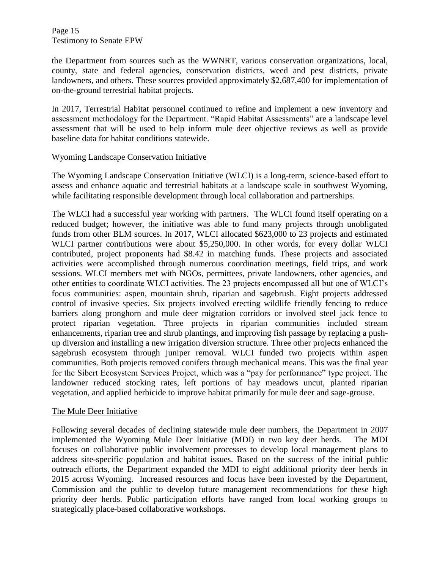Page 15 Testimony to Senate EPW

the Department from sources such as the WWNRT, various conservation organizations, local, county, state and federal agencies, conservation districts, weed and pest districts, private landowners, and others. These sources provided approximately \$2,687,400 for implementation of on-the-ground terrestrial habitat projects.

In 2017, Terrestrial Habitat personnel continued to refine and implement a new inventory and assessment methodology for the Department. "Rapid Habitat Assessments" are a landscape level assessment that will be used to help inform mule deer objective reviews as well as provide baseline data for habitat conditions statewide.

### Wyoming Landscape Conservation Initiative

The Wyoming Landscape Conservation Initiative (WLCI) is a long-term, science-based effort to assess and enhance aquatic and terrestrial habitats at a landscape scale in southwest Wyoming, while facilitating responsible development through local collaboration and partnerships.

The WLCI had a successful year working with partners. The WLCI found itself operating on a reduced budget; however, the initiative was able to fund many projects through unobligated funds from other BLM sources. In 2017, WLCI allocated \$623,000 to 23 projects and estimated WLCI partner contributions were about \$5,250,000. In other words, for every dollar WLCI contributed, project proponents had \$8.42 in matching funds. These projects and associated activities were accomplished through numerous coordination meetings, field trips, and work sessions. WLCI members met with NGOs, permittees, private landowners, other agencies, and other entities to coordinate WLCI activities. The 23 projects encompassed all but one of WLCI's focus communities: aspen, mountain shrub, riparian and sagebrush. Eight projects addressed control of invasive species. Six projects involved erecting wildlife friendly fencing to reduce barriers along pronghorn and mule deer migration corridors or involved steel jack fence to protect riparian vegetation. Three projects in riparian communities included stream enhancements, riparian tree and shrub plantings, and improving fish passage by replacing a pushup diversion and installing a new irrigation diversion structure. Three other projects enhanced the sagebrush ecosystem through juniper removal. WLCI funded two projects within aspen communities. Both projects removed conifers through mechanical means. This was the final year for the Sibert Ecosystem Services Project, which was a "pay for performance" type project. The landowner reduced stocking rates, left portions of hay meadows uncut, planted riparian vegetation, and applied herbicide to improve habitat primarily for mule deer and sage-grouse.

### The Mule Deer Initiative

Following several decades of declining statewide mule deer numbers, the Department in 2007 implemented the Wyoming Mule Deer Initiative (MDI) in two key deer herds. The MDI focuses on collaborative public involvement processes to develop local management plans to address site-specific population and habitat issues. Based on the success of the initial public outreach efforts, the Department expanded the MDI to eight additional priority deer herds in 2015 across Wyoming. Increased resources and focus have been invested by the Department, Commission and the public to develop future management recommendations for these high priority deer herds. Public participation efforts have ranged from local working groups to strategically place-based collaborative workshops.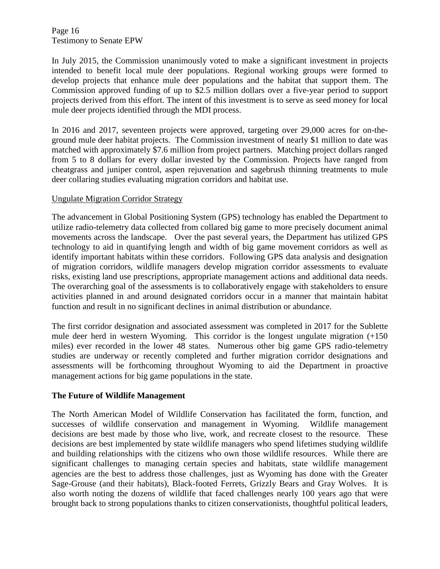Page 16 Testimony to Senate EPW

In July 2015, the Commission unanimously voted to make a significant investment in projects intended to benefit local mule deer populations. Regional working groups were formed to develop projects that enhance mule deer populations and the habitat that support them. The Commission approved funding of up to \$2.5 million dollars over a five-year period to support projects derived from this effort. The intent of this investment is to serve as seed money for local mule deer projects identified through the MDI process.

In 2016 and 2017, seventeen projects were approved, targeting over 29,000 acres for on-theground mule deer habitat projects. The Commission investment of nearly \$1 million to date was matched with approximately \$7.6 million from project partners. Matching project dollars ranged from 5 to 8 dollars for every dollar invested by the Commission. Projects have ranged from cheatgrass and juniper control, aspen rejuvenation and sagebrush thinning treatments to mule deer collaring studies evaluating migration corridors and habitat use.

## Ungulate Migration Corridor Strategy

The advancement in Global Positioning System (GPS) technology has enabled the Department to utilize radio-telemetry data collected from collared big game to more precisely document animal movements across the landscape. Over the past several years, the Department has utilized GPS technology to aid in quantifying length and width of big game movement corridors as well as identify important habitats within these corridors. Following GPS data analysis and designation of migration corridors, wildlife managers develop migration corridor assessments to evaluate risks, existing land use prescriptions, appropriate management actions and additional data needs. The overarching goal of the assessments is to collaboratively engage with stakeholders to ensure activities planned in and around designated corridors occur in a manner that maintain habitat function and result in no significant declines in animal distribution or abundance.

The first corridor designation and associated assessment was completed in 2017 for the Sublette mule deer herd in western Wyoming. This corridor is the longest ungulate migration (+150 miles) ever recorded in the lower 48 states. Numerous other big game GPS radio-telemetry studies are underway or recently completed and further migration corridor designations and assessments will be forthcoming throughout Wyoming to aid the Department in proactive management actions for big game populations in the state.

## **The Future of Wildlife Management**

The North American Model of Wildlife Conservation has facilitated the form, function, and successes of wildlife conservation and management in Wyoming. Wildlife management decisions are best made by those who live, work, and recreate closest to the resource. These decisions are best implemented by state wildlife managers who spend lifetimes studying wildlife and building relationships with the citizens who own those wildlife resources. While there are significant challenges to managing certain species and habitats, state wildlife management agencies are the best to address those challenges, just as Wyoming has done with the Greater Sage-Grouse (and their habitats), Black-footed Ferrets, Grizzly Bears and Gray Wolves. It is also worth noting the dozens of wildlife that faced challenges nearly 100 years ago that were brought back to strong populations thanks to citizen conservationists, thoughtful political leaders,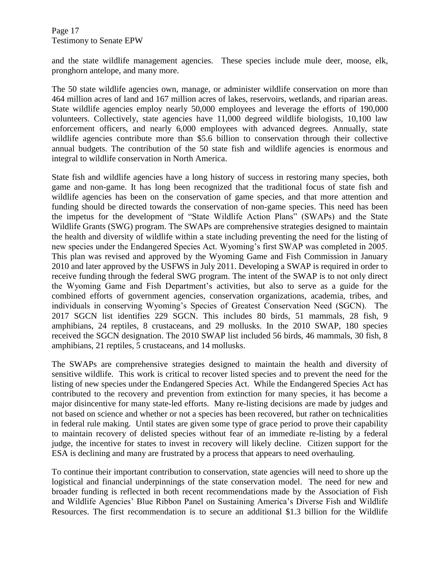and the state wildlife management agencies. These species include mule deer, moose, elk, pronghorn antelope, and many more.

The 50 state wildlife agencies own, manage, or administer wildlife conservation on more than 464 million acres of land and 167 million acres of lakes, reservoirs, wetlands, and riparian areas. State wildlife agencies employ nearly 50,000 employees and leverage the efforts of 190,000 volunteers. Collectively, state agencies have 11,000 degreed wildlife biologists, 10,100 law enforcement officers, and nearly 6,000 employees with advanced degrees. Annually, state wildlife agencies contribute more than \$5.6 billion to conservation through their collective annual budgets. The contribution of the 50 state fish and wildlife agencies is enormous and integral to wildlife conservation in North America.

State fish and wildlife agencies have a long history of success in restoring many species, both game and non-game. It has long been recognized that the traditional focus of state fish and wildlife agencies has been on the conservation of game species, and that more attention and funding should be directed towards the conservation of non-game species. This need has been the impetus for the development of "State Wildlife Action Plans" (SWAPs) and the State Wildlife Grants (SWG) program. The SWAPs are comprehensive strategies designed to maintain the health and diversity of wildlife within a state including preventing the need for the listing of new species under the Endangered Species Act. Wyoming's first SWAP was completed in 2005. This plan was revised and approved by the Wyoming Game and Fish Commission in January 2010 and later approved by the USFWS in July 2011. Developing a SWAP is required in order to receive funding through the federal SWG program. The intent of the SWAP is to not only direct the Wyoming Game and Fish Department's activities, but also to serve as a guide for the combined efforts of government agencies, conservation organizations, academia, tribes, and individuals in conserving Wyoming's Species of Greatest Conservation Need (SGCN). The 2017 SGCN list identifies 229 SGCN. This includes 80 birds, 51 mammals, 28 fish, 9 amphibians, 24 reptiles, 8 crustaceans, and 29 mollusks. In the 2010 SWAP, 180 species received the SGCN designation. The 2010 SWAP list included 56 birds, 46 mammals, 30 fish, 8 amphibians, 21 reptiles, 5 crustaceans, and 14 mollusks.

The SWAPs are comprehensive strategies designed to maintain the health and diversity of sensitive wildlife. This work is critical to recover listed species and to prevent the need for the listing of new species under the Endangered Species Act. While the Endangered Species Act has contributed to the recovery and prevention from extinction for many species, it has become a major disincentive for many state-led efforts. Many re-listing decisions are made by judges and not based on science and whether or not a species has been recovered, but rather on technicalities in federal rule making. Until states are given some type of grace period to prove their capability to maintain recovery of delisted species without fear of an immediate re-listing by a federal judge, the incentive for states to invest in recovery will likely decline. Citizen support for the ESA is declining and many are frustrated by a process that appears to need overhauling.

To continue their important contribution to conservation, state agencies will need to shore up the logistical and financial underpinnings of the state conservation model. The need for new and broader funding is reflected in both recent recommendations made by the Association of Fish and Wildlife Agencies' Blue Ribbon Panel on Sustaining America's Diverse Fish and Wildlife Resources. The first recommendation is to secure an additional \$1.3 billion for the Wildlife